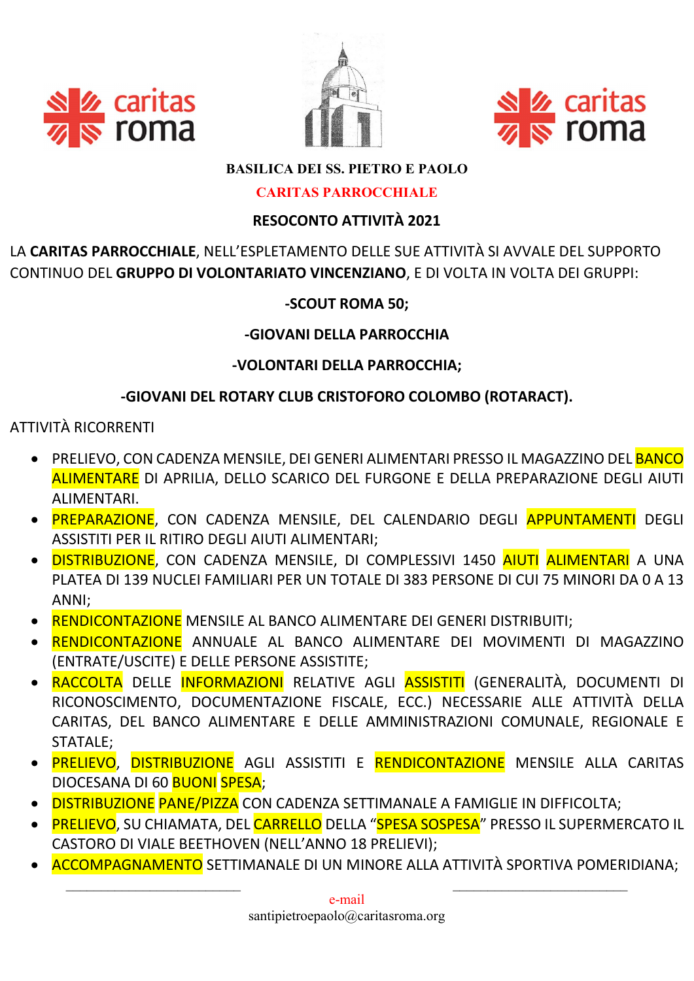





## **BASILICA DEI SS. PIETRO E PAOLO**

#### **CARITAS PARROCCHIALE**

## **RESOCONTO ATTIVITÀ 2021**

LA CARITAS PARROCCHIALE, NELL'ESPLETAMENTO DELLE SUE ATTIVITÀ SI AVVALE DEL SUPPORTO CONTINUO DEL GRUPPO DI VOLONTARIATO VINCENZIANO, E DI VOLTA IN VOLTA DEI GRUPPI:

## -SCOUT ROMA 50:

### -GIOVANI DELLA PARROCCHIA

## -VOLONTARI DELLA PARROCCHIA:

## -GIOVANI DEL ROTARY CLUB CRISTOFORO COLOMBO (ROTARACT).

## **ATTIVITÀ RICORRENTI**

- PRELIEVO, CON CADENZA MENSILE, DEI GENERI ALIMENTARI PRESSO IL MAGAZZINO DEL <mark>BANCO</mark> ALIMENTARE DI APRILIA, DELLO SCARICO DEL FURGONE E DELLA PREPARAZIONE DEGLI AIUTI ALIMENTARI.
- · PREPARAZIONE, CON CADENZA MENSILE, DEL CALENDARIO DEGLI APPUNTAMENTI DEGLI ASSISTITI PER IL RITIRO DEGLI AIUTI ALIMENTARI;
- · <mark>DISTRIBUZIONE</mark>. CON CADENZA MENSILE. DI COMPLESSIVI 1450 <mark>AIUTI ALIMENTARI</mark> A UNA PLATEA DI 139 NUCLEI FAMILIARI PER UN TOTALE DI 383 PERSONE DI CUI 75 MINORI DA 0 A 13 ANNI;
- RENDICONTAZIONE MENSILE AL BANCO ALIMENTARE DEI GENERI DISTRIBUITI;
- · RENDICONTAZIONE ANNUALE AL BANCO ALIMENTARE DEI MOVIMENTI DI MAGAZZINO (ENTRATE/USCITE) E DELLE PERSONE ASSISTITE;
- RACCOLTA DELLE INFORMAZIONI RELATIVE AGLI ASSISTITI (GENERALITÀ, DOCUMENTI DI RICONOSCIMENTO, DOCUMENTAZIONE FISCALE, ECC.) NECESSARIE ALLE ATTIVITÀ DELLA CARITAS, DEL BANCO ALIMENTARE E DELLE AMMINISTRAZIONI COMUNALE, REGIONALE E **STATALE:**
- · PRELIEVO, DISTRIBUZIONE AGLI ASSISTITI E RENDICONTAZIONE MENSILE ALLA CARITAS DIOCESANA DI 60 BUONI SPESA;
- · DISTRIBUZIONE PANE/PIZZA CON CADENZA SETTIMANALE A FAMIGLIE IN DIFFICOLTA;
- PRELIEVO, SU CHIAMATA, DEL CARRELLO DELLA "SPESA SOSPESA" PRESSO IL SUPERMERCATO IL CASTORO DI VIALE BEETHOVEN (NELL'ANNO 18 PRELIEVI);
- **ACCOMPAGNAMENTO** SETTIMANALE DI UN MINORE ALLA ATTIVITÀ SPORTIVA POMERIDIANA;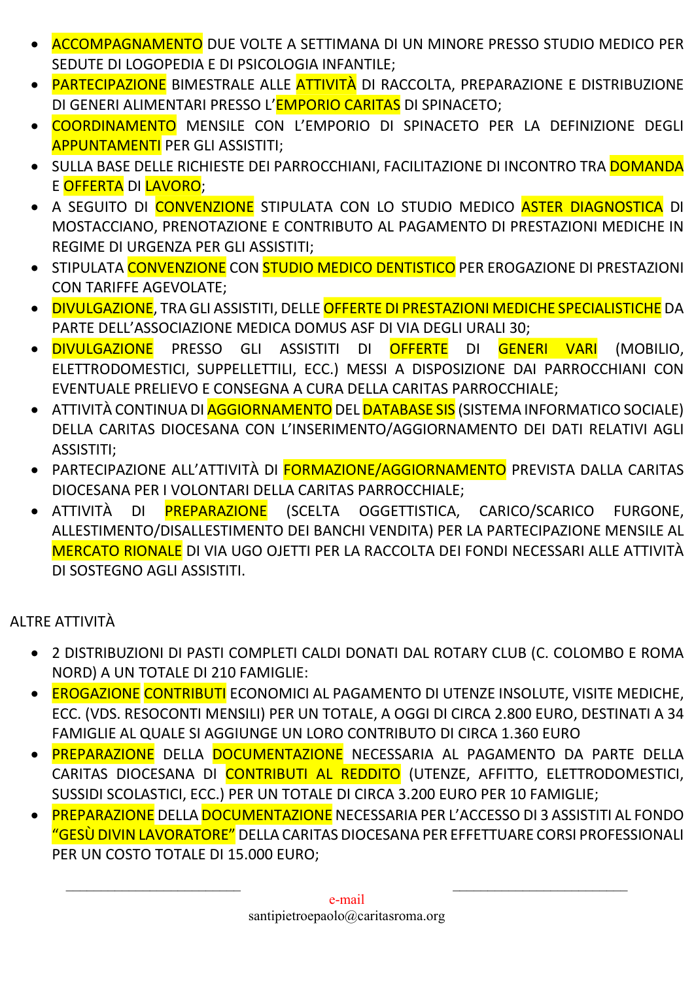- ACCOMPAGNAMENTO DUE VOLTE A SETTIMANA DI UN MINORE PRESSO STUDIO MEDICO PER SEDUTE DI LOGOPEDIA E DI PSICOLOGIA INFANTILE;
- PARTECIPAZIONE BIMESTRALE ALLE ATTIVITÀ DI RACCOLTA, PREPARAZIONE E DISTRIBUZIONE DI GENERI ALIMENTARI PRESSO L'EMPORIO CARITAS DI SPINACETO;
- COORDINAMENTO MENSILE CON L'EMPORIO DI SPINACETO PER LA DEFINIZIONE DEGLI APPUNTAMENTI PER GLI ASSISTITI;
- **·** SULLA BASE DELLE RICHIESTE DEI PARROCCHIANI, FACILITAZIONE DI INCONTRO TRA **DOMANDA** E OFFERTA DI LAVORO;
- A SEGUITO DI CONVENZIONE STIPULATA CON LO STUDIO MEDICO ASTER DIAGNOSTICA DI MOSTACCIANO, PRENOTAZIONE E CONTRIBUTO AL PAGAMENTO DI PRESTAZIONI MEDICHE IN REGIME DI URGENZA PER GLI ASSISTITI;
- **STIPULATA CONVENZIONE CON STUDIO MEDICO DENTISTICO** PER EROGAZIONE DI PRESTAZIONI CON TARIFFE AGEVOLATE;
- DIVULGAZIONE, TRA GLI ASSISTITI, DELLE OFFERTE DI PRESTAZIONI MEDICHE SPECIALISTICHE DA PARTE DELL'ASSOCIAZIONE MEDICA DOMUS ASF DI VIA DEGLI URALI 30;
- DIVULGAZIONE PRESSO GLI ASSISTITI DI OFFERTE DI GENERI VARI (MOBILIO, ELETTRODOMESTICI, SUPPELLETTILI, ECC.) MESSI A DISPOSIZIONE DAI PARROCCHIANI CON EVENTUALE PRELIEVO E CONSEGNA A CURA DELLA CARITAS PARROCCHIALE;
- **ATTIVITÀ CONTINUA DI <mark>AGGIORNAMENTO</mark> DEL <mark>DATABASE SIS</mark> (SISTEMA INFORMATICO SOCIALE)** DELLA CARITAS DIOCESANA CON L'INSERIMENTO/AGGIORNAMENTO DEI DATI RELATIVI AGLI ASSISTITI;
- PARTECIPAZIONE ALL'ATTIVITÀ DI **FORMAZIONE/AGGIORNAMENTO** PREVISTA DALLA CARITAS DIOCESANA PER I VOLONTARI DELLA CARITAS PARROCCHIALE;
- ATTIVITÀ DI PREPARAZIONE (SCELTA OGGETTISTICA, CARICO/SCARICO FURGONE, ALLESTIMENTO/DISALLESTIMENTO DEI BANCHI VENDITA) PER LA PARTECIPAZIONE MENSILE AL MERCATO RIONALE DI VIA UGO OJETTI PER LA RACCOLTA DEI FONDI NECESSARI ALLE ATTIVITÀ DI SOSTEGNO AGLI ASSISTITI.

# ALTRE ATTIVITÀ

- 2 DISTRIBUZIONI DI PASTI COMPLETI CALDI DONATI DAL ROTARY CLUB (C. COLOMBO E ROMA NORD) A UN TOTALE DI 210 FAMIGLIE:
- EROGAZIONE CONTRIBUTI ECONOMICI AL PAGAMENTO DI UTENZE INSOLUTE, VISITE MEDICHE, ECC. (VDS. RESOCONTI MENSILI) PER UN TOTALE, A OGGI DI CIRCA 2.800 EURO, DESTINATI A 34 FAMIGLIE AL QUALE SI AGGIUNGE UN LORO CONTRIBUTO DI CIRCA 1.360 EURO
- PREPARAZIONE DELLA DOCUMENTAZIONE NECESSARIA AL PAGAMENTO DA PARTE DELLA CARITAS DIOCESANA DI CONTRIBUTI AL REDDITO (UTENZE, AFFITTO, ELETTRODOMESTICI, SUSSIDI SCOLASTICI, ECC.) PER UN TOTALE DI CIRCA 3.200 EURO PER 10 FAMIGLIE;
- PREPARAZIONE DELLA DOCUMENTAZIONE NECESSARIA PER L'ACCESSO DI 3 ASSISTITI AL FONDO "GESÙ DIVIN LAVORATORE" DELLA CARITAS DIOCESANA PER EFFETTUARE CORSI PROFESSIONALI PER UN COSTO TOTALE DI 15.000 EURO;